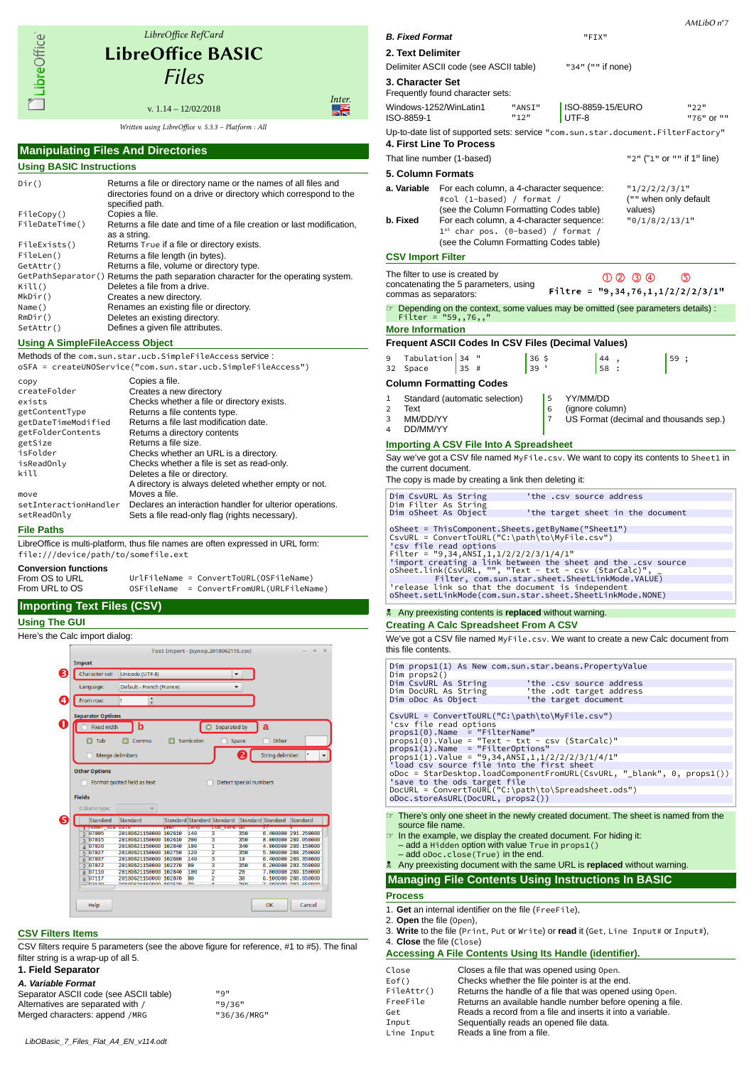LibreOffice<sup>®</sup>

# LibreOffice RefCard LibreOfice BASIC Files

v. 1.14 – 12/02/2018 Written using LibreOffice v. 5.3.3 - Platform : All Inter.

#### **Manipulating Files And Directories Using BASIC Instructions** Dir() Returns a file or directory name or the names of all files and directories found on a drive or directory which correspond to the specified path.<br>Copies a file. FileCopy() FileDateTime() Returns a file date and time of a file creation or last modification, as a string. FileExists() Returns True if a file or directory exists.<br>FileLen() Returns a file length (in bytes). FileLen() Returns a file length (in bytes).<br>GetAttr() Returns a file, volume or direct Returns a file, volume or directory type. GetPathSeparator() Returns the path separation character for the operating system.<br>Kill() Deletes a file from a drive. Kill() Deletes a file from a drive.<br>
MkDir() Creates a new directory. Creates a new directory. Name () Renames an existing file or directory.<br>RmDir () Deletes an existing directory. RmDir() Deletes an existing directory.<br>SetAttr() Defines a given file attributes Defines a given file attributes.

# **Using A SimpleFileAccess Object**

Methods of the com.sun.star.ucb.SimpleFileAccess service :

|                       | oSFA = createUNOService("com.sun.star.ucb.SimpleFileAccess") |
|-----------------------|--------------------------------------------------------------|
| copy                  | Copies a file.                                               |
| createFolder          | Creates a new directory                                      |
| exists                | Checks whether a file or directory exists.                   |
| getContentType        | Returns a file contents type.                                |
| getDateTimeModified   | Returns a file last modification date.                       |
| getFolderContents     | Returns a directory contents                                 |
| getSize               | Returns a file size.                                         |
| isFolder              | Checks whether an URL is a directory.                        |
| isReadOnly            | Checks whether a file is set as read-only.                   |
| kill                  | Deletes a file or directory.                                 |
|                       | A directory is always deleted whether empty or not.          |
| move                  | Moves a file.                                                |
| setInteractionHandler | Declares an interaction handler for ulterior operations.     |
| setReadOnly           | Sets a file read-only flag (rights necessary).               |
|                       |                                                              |

**File Paths**

LibreOffice is multi-platform, thus file names are often expressed in URL form: file:///device/path/to/somefile.ext

| <b>Conversion functions</b> |            |                                        |
|-----------------------------|------------|----------------------------------------|
| From OS to URL              |            | UrlFileName = ConvertToURL(OSFileName) |
| From URL to OS              | OSFileName | = ConvertFromURL(URLFileName)          |

# **Importing Text Files (CSV)**

### **Using The GUI**

Here's the Calc import dialog: Text Import - [synop.2018062115.csv] Import ❸ Character set: Unicode (UTF-8)  $\overline{\phantom{0}}$ Default - French (France) Language  $\bullet$ From row: Ŀ **Separator Options** 0 C Fixed width b Separated by a  $\Box$  Tab **El** Comma **El** Semicolon  $\Box$  Space Other String delimiter: | v  $\Box$  Merge delimiters  $\boldsymbol{a}$ Other Options Format quoted field as text  $\Box$  Detect special numbers Fields Standard € Standard ard Standard Standard 2 07005<br>
3 07015<br>
4 07020<br>
5 07027<br>
6 07037<br>
7 07072<br>
7 07072 02180621150000 102610<br>20180621150000 102610<br>20180621150000 102610<br>20180621150000 102750<br>20180621150000 102600 146<br>206<br>106<br>126<br>146<br>80<br>106<br>80 350<br>350<br>340<br>350<br>10<br>350<br>20<br>30  $20180621150000$   $102600$ <br>  $20180621150000$   $102270$ <br>  $20180621150000$   $102840$ <br>  $20180621150000$   $102870$ <br>  $00100621150000$   $102570$  $\begin{array}{r} 8807116 \\ 987117 \\ \hline 987117 \end{array}$  $He$  $\overline{\mathsf{OK}}$ Cancel

# **CSV Filters Items**

CSV filters require 5 parameters (see the above figure for reference, #1 to #5). The final filter string is a wrap-up of all 5.

#### **1. Field Separator**

*A. Variable Format*

Separator ASCII code (see ASCII table) "9" Alternatives are separated with / Merged characters: append /MRG

| "9/36"      |
|-------------|
| "36/36/MRG" |

| <b>B. Fixed Format</b>                 |                                                                                                                                                                                                                                                 |      |        |                |                                                                              | "FIX" |                                            |     |                                                   |
|----------------------------------------|-------------------------------------------------------------------------------------------------------------------------------------------------------------------------------------------------------------------------------------------------|------|--------|----------------|------------------------------------------------------------------------------|-------|--------------------------------------------|-----|---------------------------------------------------|
| <b>2. Text Delimiter</b>               |                                                                                                                                                                                                                                                 |      |        |                |                                                                              |       |                                            |     |                                                   |
| <b>3. Character Set</b>                | Delimiter ASCII code (see ASCII table)<br>Frequently found character sets:                                                                                                                                                                      |      |        |                | "34" ("" if none)                                                            |       |                                            |     |                                                   |
| ISO-8859-1                             | Windows-1252/WinLatin1                                                                                                                                                                                                                          | "12" | "ANSI" |                | ISO-8859-15/EURO<br>UTF-8                                                    |       |                                            |     | "22"<br>"76" or ""                                |
|                                        | Up-to-date list of supported sets: service "com.sun.star.document.FilterFactory"<br>4. First Line To Process                                                                                                                                    |      |        |                |                                                                              |       |                                            |     |                                                   |
|                                        | That line number (1-based)                                                                                                                                                                                                                      |      |        |                |                                                                              |       |                                            |     | "2" ("1" or "" if $1st$ line)                     |
| 5. Column Formats                      |                                                                                                                                                                                                                                                 |      |        |                |                                                                              |       |                                            |     |                                                   |
| a. Variable<br>b. Fixed                | For each column, a 4-character sequence:<br>#col (1-based) / format /<br>(see the Column Formatting Codes table)<br>For each column, a 4-character sequence:<br>$1st$ char pos. (0-based) / format /<br>(see the Column Formatting Codes table) |      |        |                |                                                                              |       | "1/2/2/2/3/1"<br>values)<br>"0/1/8/2/13/1" |     | ("" when only default                             |
| <b>CSV Import Filter</b>               |                                                                                                                                                                                                                                                 |      |        |                |                                                                              |       |                                            |     |                                                   |
| commas as separators:                  | The filter to use is created by<br>concatenating the 5 parameters, using                                                                                                                                                                        |      |        |                |                                                                              |       | $(1)$ $(2)$ $(3)$ $(4)$                    |     | $\circ$<br>Filtre = $"9, 34, 76, 1, 1/2/2/2/3/1"$ |
|                                        | $\triangleright$ Depending on the context, some values may be omitted (see parameters details) :                                                                                                                                                |      |        |                |                                                                              |       |                                            |     |                                                   |
| <b>More Information</b>                | Filter = $"59, 76, ,"$                                                                                                                                                                                                                          |      |        |                |                                                                              |       |                                            |     |                                                   |
|                                        | Frequent ASCII Codes In CSV Files (Decimal Values)                                                                                                                                                                                              |      |        |                |                                                                              |       |                                            |     |                                                   |
| 9                                      | Tabulation 34 "                                                                                                                                                                                                                                 |      | 36 \$  |                |                                                                              | 44    |                                            | 59; |                                                   |
| 32<br>Space                            | 35#                                                                                                                                                                                                                                             |      | 39'    |                |                                                                              | 58    |                                            |     |                                                   |
|                                        | <b>Column Formatting Codes</b>                                                                                                                                                                                                                  |      |        |                |                                                                              |       |                                            |     |                                                   |
| 1<br>$\overline{2}$<br>Text            | Standard (automatic selection)                                                                                                                                                                                                                  |      |        | 5<br>6         | YY/MM/DD                                                                     |       |                                            |     |                                                   |
|                                        |                                                                                                                                                                                                                                                 |      |        |                | (ignore column)                                                              |       |                                            |     |                                                   |
| 3<br>MM/DD/YY                          |                                                                                                                                                                                                                                                 |      |        | $\overline{7}$ | US Format (decimal and thousands sep.)                                       |       |                                            |     |                                                   |
| 4<br>DD/MM/YY<br>the current document. | <b>Importing A CSV File Into A Spreadsheet</b><br>Say we've got a CSV file named MyFile.csv. We want to copy its contents to Sheet1 in                                                                                                          |      |        |                |                                                                              |       |                                            |     |                                                   |
|                                        | The copy is made by creating a link then deleting it:<br>Dim CsvURL As String<br>Dim Filter As String                                                                                                                                           |      |        |                | 'the .csv source address                                                     |       |                                            |     |                                                   |
|                                        | Dim oSheet As Object                                                                                                                                                                                                                            |      |        |                | 'the target sheet in the document                                            |       |                                            |     |                                                   |
|                                        | oSheet = ThisComponent.Sheets.getByName("Sheet1")<br>CsvURL = ConvertToURL("C:\path\to\MyFile.csv")                                                                                                                                             |      |        |                |                                                                              |       |                                            |     |                                                   |
|                                        | 'csv file read options                                                                                                                                                                                                                          |      |        |                |                                                                              |       |                                            |     |                                                   |
|                                        | Filter = "9,34, ANSI, $1, 1/2/2/2/3/1/4/1$ "<br>'import creating a link between the sheet and the .csv source                                                                                                                                   |      |        |                |                                                                              |       |                                            |     |                                                   |
|                                        | oSheet.link(CsvURL, "", "Text - txt - csv (StarCalc)"<br>Filter, com.sun.star.sheet.SheetLinkMode.VALUE)                                                                                                                                        |      |        |                |                                                                              |       |                                            |     |                                                   |
|                                        | 'release link so that the document is independent<br>oSheet.setLinkMode(com.sun.star.sheet.SheetLinkMode.NONE)                                                                                                                                  |      |        |                |                                                                              |       |                                            |     |                                                   |
|                                        | Any preexisting contents is replaced without warning.                                                                                                                                                                                           |      |        |                |                                                                              |       |                                            |     |                                                   |
|                                        | <b>Creating A Calc Spreadsheet From A CSV</b>                                                                                                                                                                                                   |      |        |                |                                                                              |       |                                            |     |                                                   |
| this file contents.                    | We've got a CSV file named MyFile.csv. We want to create a new Calc document from                                                                                                                                                               |      |        |                |                                                                              |       |                                            |     |                                                   |
|                                        | Dim props1(1) As New com.sun.star.beans.PropertyValue                                                                                                                                                                                           |      |        |                |                                                                              |       |                                            |     |                                                   |
| Dim oDoc As Object                     | Dim props2()<br>Dim CsvURL As String<br>Dim DocURL As String                                                                                                                                                                                    |      |        |                | 'the .csv source address<br>'the .odt target address<br>'the target document |       |                                            |     |                                                   |
|                                        | CsvURL = ConvertToURL("C:\path\to\MyFile.csv")                                                                                                                                                                                                  |      |        |                |                                                                              |       |                                            |     |                                                   |
|                                        | 'csv file read options<br>props1(0).Name = "FilterName"                                                                                                                                                                                         |      |        |                |                                                                              |       |                                            |     |                                                   |
|                                        | $props1(0)$ . Value = "Text - txt - csv (StarCalc)"<br>props1(1).Name = "FilterOptions"                                                                                                                                                         |      |        |                |                                                                              |       |                                            |     |                                                   |
|                                        | $props1(1)$ . Value = "9,34, ANSI, 1, 1/2/2/2/3/1/4/1"                                                                                                                                                                                          |      |        |                |                                                                              |       |                                            |     |                                                   |
|                                        | 'load csv source file into the first sheet<br>oDoc = StarDesktop.loadComponentFromURL(CsvURL, "_blank", 0, props1())                                                                                                                            |      |        |                |                                                                              |       |                                            |     |                                                   |
|                                        | 'save to the ods target file<br>DocURL = ConvertToURL("C:\path\to\Spreadsheet.ods")                                                                                                                                                             |      |        |                |                                                                              |       |                                            |     |                                                   |
|                                        | oDoc.storeAsURL(DocURL, props2())                                                                                                                                                                                                               |      |        |                |                                                                              |       |                                            |     |                                                   |
| source file name.                      | $\triangleright$ There's only one sheet in the newly created document. The sheet is named from the                                                                                                                                              |      |        |                |                                                                              |       |                                            |     |                                                   |
|                                        | $\blacksquare$ In the example, we display the created document. For hiding it:                                                                                                                                                                  |      |        |                |                                                                              |       |                                            |     |                                                   |
|                                        | $-$ add a Hidden option with value True in $props1()$<br>- add oDoc.close(True) in the end.                                                                                                                                                     |      |        |                |                                                                              |       |                                            |     |                                                   |
|                                        | Any preexisting document with the same URL is replaced without warning.<br><b>Managing File Contents Using Instructions In BASIC</b>                                                                                                            |      |        |                |                                                                              |       |                                            |     |                                                   |

#### 2. **Open** the file (Open),

- 3. **Write** to the file (Print, Put or Write) or **read** it (Get, Line Input# or Input#),
- 4. **Close** the file (Close)

# **Accessing A File Contents Using Its Handle (identifier).**

| Close      | Closes a file that was opened using Open.                  |
|------------|------------------------------------------------------------|
| Eof()      | Checks whether the file pointer is at the end.             |
| FileAttr() | Returns the handle of a file that was opened using Open.   |
| FreeFile   | Returns an available handle number before opening a file.  |
| Get        | Reads a record from a file and inserts it into a variable. |
| Input      | Sequentially reads an opened file data.                    |
| Line Input | Reads a line from a file.                                  |